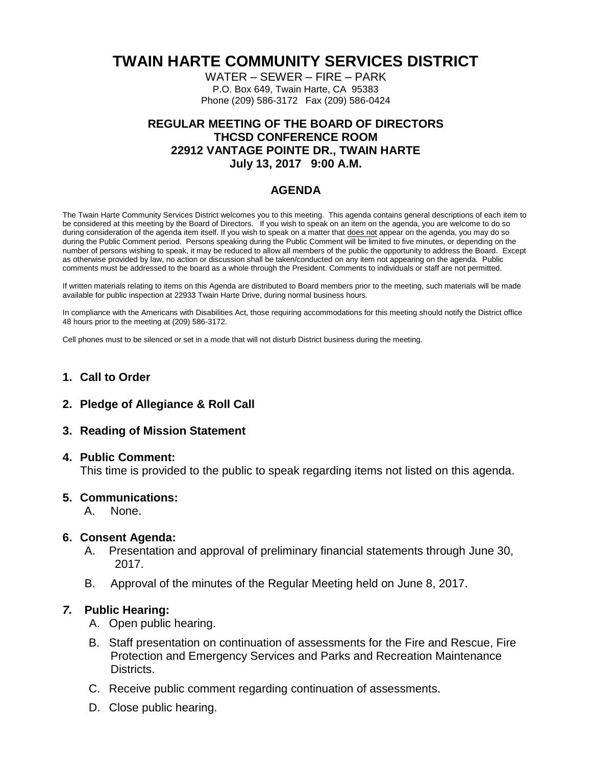# **TWAIN HARTE COMMUNITY SERVICES DISTRICT**

WATER – SEWER – FIRE – PARK P.O. Box 649, Twain Harte, CA 95383 Phone (209) 586-3172 Fax (209) 586-0424

## **REGULAR MEETING OF THE BOARD OF DIRECTORS THCSD CONFERENCE ROOM 22912 VANTAGE POINTE DR., TWAIN HARTE July 13, 2017 9:00 A.M.**

## **AGENDA**

The Twain Harte Community Services District welcomes you to this meeting. This agenda contains general descriptions of each item to be considered at this meeting by the Board of Directors. If you wish to speak on an item on the agenda, you are welcome to do so during consideration of the agenda item itself. If you wish to speak on a matter that does not appear on the agenda, you may do so during the Public Comment period. Persons speaking during the Public Comment will be limited to five minutes, or depending on the number of persons wishing to speak, it may be reduced to allow all members of the public the opportunity to address the Board. Except as otherwise provided by law, no action or discussion shall be taken/conducted on any item not appearing on the agenda. Public comments must be addressed to the board as a whole through the President. Comments to individuals or staff are not permitted.

If written materials relating to items on this Agenda are distributed to Board members prior to the meeting, such materials will be made available for public inspection at 22933 Twain Harte Drive, during normal business hours.

In compliance with the Americans with Disabilities Act, those requiring accommodations for this meeting should notify the District office 48 hours prior to the meeting at (209) 586-3172.

Cell phones must to be silenced or set in a mode that will not disturb District business during the meeting.

#### **1. Call to Order**

**2. Pledge of Allegiance & Roll Call**

#### **3. Reading of Mission Statement**

#### **4. Public Comment:**

This time is provided to the public to speak regarding items not listed on this agenda.

#### **5. Communications:**

A. None.

#### **6. Consent Agenda:**

- A. Presentation and approval of preliminary financial statements through June 30, 2017.
- B. Approval of the minutes of the Regular Meeting held on June 8, 2017.

#### *7.* **Public Hearing:**

- A. Open public hearing.
- B. Staff presentation on continuation of assessments for the Fire and Rescue, Fire Protection and Emergency Services and Parks and Recreation Maintenance Districts.
- C. Receive public comment regarding continuation of assessments.
- D. Close public hearing.